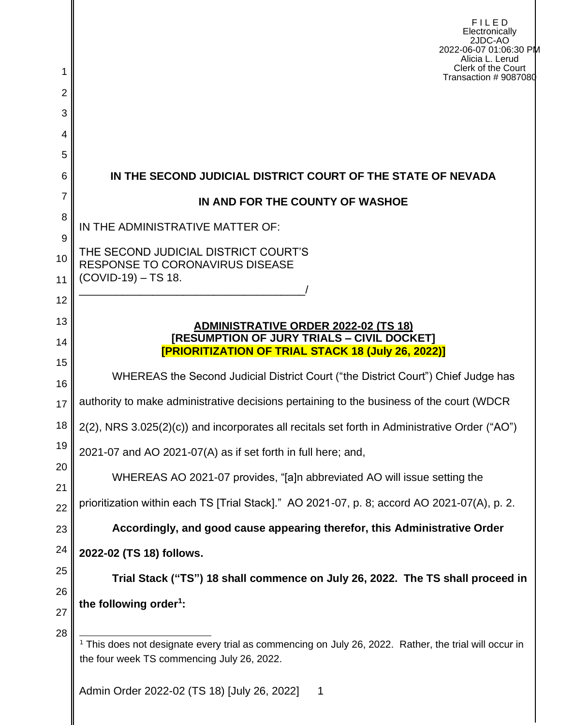|                     | FILED<br>Electronically<br>2JDC-AO<br>2022-06-07 01:06:30 PM<br>Alicia L. Lerud<br>Clerk of the Court                                                          |  |  |  |  |  |
|---------------------|----------------------------------------------------------------------------------------------------------------------------------------------------------------|--|--|--|--|--|
| 1<br>$\overline{2}$ | Transaction # 9087080                                                                                                                                          |  |  |  |  |  |
| 3                   |                                                                                                                                                                |  |  |  |  |  |
| 4                   |                                                                                                                                                                |  |  |  |  |  |
| 5                   |                                                                                                                                                                |  |  |  |  |  |
| 6                   | IN THE SECOND JUDICIAL DISTRICT COURT OF THE STATE OF NEVADA                                                                                                   |  |  |  |  |  |
| $\overline{7}$      | IN AND FOR THE COUNTY OF WASHOE                                                                                                                                |  |  |  |  |  |
| 8                   | IN THE ADMINISTRATIVE MATTER OF:                                                                                                                               |  |  |  |  |  |
| 9<br>10<br>11       | THE SECOND JUDICIAL DISTRICT COURT'S<br><b>RESPONSE TO CORONAVIRUS DISEASE</b><br>(COVID-19) - TS 18.                                                          |  |  |  |  |  |
| 12                  |                                                                                                                                                                |  |  |  |  |  |
| 13<br>14            | <b>ADMINISTRATIVE ORDER 2022-02 (TS 18)</b><br>[RESUMPTION OF JURY TRIALS - CIVIL DOCKET]                                                                      |  |  |  |  |  |
| 15                  | <b>[PRIORITIZATION OF TRIAL STACK 18 (July 26, 2022)]</b>                                                                                                      |  |  |  |  |  |
| 16                  | WHEREAS the Second Judicial District Court ("the District Court") Chief Judge has                                                                              |  |  |  |  |  |
| 17                  | authority to make administrative decisions pertaining to the business of the court (WDCR                                                                       |  |  |  |  |  |
| 18                  | 2(2), NRS 3.025(2)(c)) and incorporates all recitals set forth in Administrative Order ("AO")                                                                  |  |  |  |  |  |
| 19                  | 2021-07 and AO 2021-07(A) as if set forth in full here; and,                                                                                                   |  |  |  |  |  |
| 20<br>21            | WHEREAS AO 2021-07 provides, "[a]n abbreviated AO will issue setting the                                                                                       |  |  |  |  |  |
| 22                  | prioritization within each TS [Trial Stack]." AO 2021-07, p. 8; accord AO 2021-07(A), p. 2.                                                                    |  |  |  |  |  |
| 23                  | Accordingly, and good cause appearing therefor, this Administrative Order                                                                                      |  |  |  |  |  |
| 24                  | 2022-02 (TS 18) follows.                                                                                                                                       |  |  |  |  |  |
| 25                  | Trial Stack ("TS") 18 shall commence on July 26, 2022. The TS shall proceed in                                                                                 |  |  |  |  |  |
| 26<br>27            | the following order <sup>1</sup> :                                                                                                                             |  |  |  |  |  |
| 28                  | <sup>1</sup> This does not designate every trial as commencing on July 26, 2022. Rather, the trial will occur in<br>the four week TS commencing July 26, 2022. |  |  |  |  |  |
|                     | Admin Order 2022-02 (TS 18) [July 26, 2022]<br>1                                                                                                               |  |  |  |  |  |